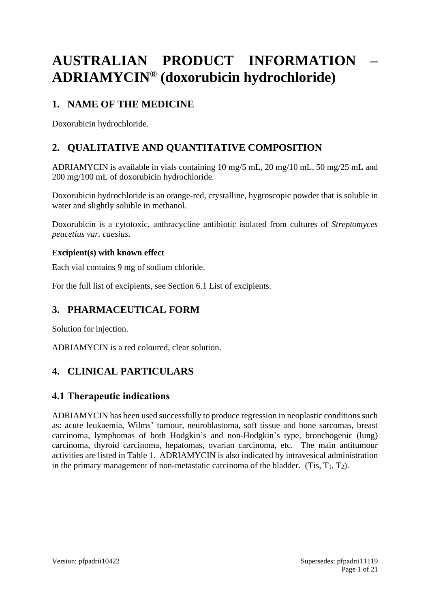# **AUSTRALIAN PRODUCT INFORMATION – ADRIAMYCIN® (doxorubicin hydrochloride)**

# **1. NAME OF THE MEDICINE**

Doxorubicin hydrochloride.

# **2. QUALITATIVE AND QUANTITATIVE COMPOSITION**

ADRIAMYCIN is available in vials containing 10 mg/5 mL, 20 mg/10 mL, 50 mg/25 mL and 200 mg/100 mL of doxorubicin hydrochloride.

Doxorubicin hydrochloride is an orange-red, crystalline, hygroscopic powder that is soluble in water and slightly soluble in methanol.

Doxorubicin is a cytotoxic, anthracycline antibiotic isolated from cultures of *Streptomyces peucetius var. caesius*.

### **Excipient(s) with known effect**

Each vial contains 9 mg of sodium chloride.

For the full list of excipients, see Section 6.1 List of excipients.

# **3. PHARMACEUTICAL FORM**

Solution for injection.

ADRIAMYCIN is a red coloured, clear solution.

# **4. CLINICAL PARTICULARS**

# **4.1 Therapeutic indications**

ADRIAMYCIN has been used successfully to produce regression in neoplastic conditions such as: acute leukaemia, Wilms' tumour, neuroblastoma, soft tissue and bone sarcomas, breast carcinoma, lymphomas of both Hodgkin's and non-Hodgkin's type, bronchogenic (lung) carcinoma, thyroid carcinoma, hepatomas, ovarian carcinoma, etc. The main antitumour activities are listed in Table 1. ADRIAMYCIN is also indicated by intravesical administration in the primary management of non-metastatic carcinoma of the bladder. (Tis,  $T_1$ ,  $T_2$ ).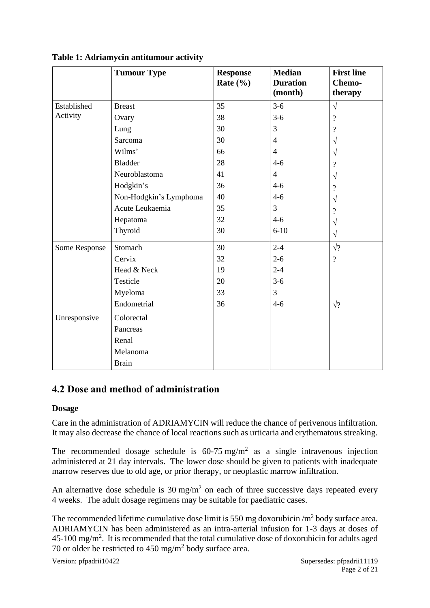|               | <b>Tumour Type</b>     | <b>Response</b><br>Rate $(\% )$ | <b>Median</b><br><b>Duration</b><br>(month) | <b>First line</b><br>Chemo-<br>therapy |
|---------------|------------------------|---------------------------------|---------------------------------------------|----------------------------------------|
| Established   | <b>Breast</b>          | 35                              | $3-6$                                       | $\sqrt{}$                              |
| Activity      | Ovary                  | 38                              | $3 - 6$                                     | $\overline{\mathcal{C}}$               |
|               | Lung                   | 30                              | 3                                           | $\overline{\mathcal{C}}$               |
|               | Sarcoma                | 30                              | $\overline{4}$                              |                                        |
|               | Wilms'                 | 66                              | $\overline{4}$                              | V                                      |
|               | <b>Bladder</b>         | 28                              | $4-6$                                       | $\overline{\mathcal{L}}$               |
|               | Neuroblastoma          | 41                              | $\overline{4}$                              | V                                      |
|               | Hodgkin's              | 36                              | $4 - 6$                                     | ?                                      |
|               | Non-Hodgkin's Lymphoma | 40                              | $4 - 6$                                     | V                                      |
|               | Acute Leukaemia        | 35                              | 3                                           | $\overline{\mathcal{C}}$               |
|               | Hepatoma               | 32                              | $4-6$                                       | V                                      |
|               | Thyroid                | 30                              | $6 - 10$                                    | $\sqrt{}$                              |
| Some Response | Stomach                | 30                              | $2 - 4$                                     | $\sqrt{?}$                             |
|               | Cervix                 | 32                              | $2 - 6$                                     | $\overline{\mathcal{L}}$               |
|               | Head & Neck            | 19                              | $2 - 4$                                     |                                        |
|               | Testicle               | 20                              | $3-6$                                       |                                        |
|               | Myeloma                | 33                              | 3                                           |                                        |
|               | Endometrial            | 36                              | $4 - 6$                                     | $\sqrt{?}$                             |
| Unresponsive  | Colorectal             |                                 |                                             |                                        |
|               | Pancreas               |                                 |                                             |                                        |
|               | Renal                  |                                 |                                             |                                        |
|               | Melanoma               |                                 |                                             |                                        |
|               | <b>Brain</b>           |                                 |                                             |                                        |

**Table 1: Adriamycin antitumour activity**

# **4.2 Dose and method of administration**

### **Dosage**

Care in the administration of ADRIAMYCIN will reduce the chance of perivenous infiltration. It may also decrease the chance of local reactions such as urticaria and erythematous streaking.

The recommended dosage schedule is  $60-75$  mg/m<sup>2</sup> as a single intravenous injection administered at 21 day intervals. The lower dose should be given to patients with inadequate marrow reserves due to old age, or prior therapy, or neoplastic marrow infiltration.

An alternative dose schedule is  $30 \text{ mg/m}^2$  on each of three successive days repeated every 4 weeks. The adult dosage regimens may be suitable for paediatric cases.

The recommended lifetime cumulative dose limit is 550 mg doxorubicin  $/m^2$  body surface area. ADRIAMYCIN has been administered as an intra-arterial infusion for 1-3 days at doses of  $45$ -100 mg/m<sup>2</sup>. It is recommended that the total cumulative dose of doxorubicin for adults aged 70 or older be restricted to 450 mg/m<sup>2</sup> body surface area.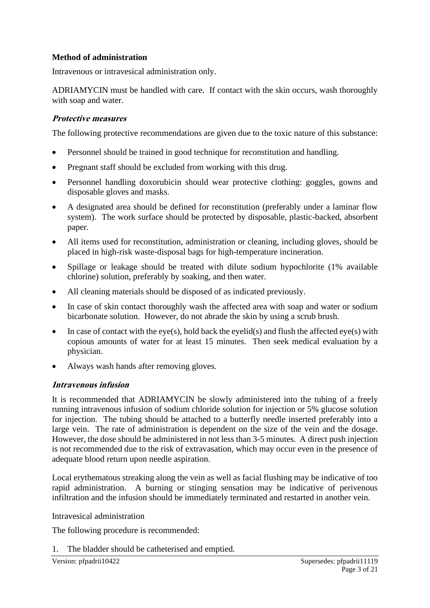### **Method of administration**

Intravenous or intravesical administration only.

ADRIAMYCIN must be handled with care. If contact with the skin occurs, wash thoroughly with soap and water.

### **Protective measures**

The following protective recommendations are given due to the toxic nature of this substance:

- Personnel should be trained in good technique for reconstitution and handling.
- Pregnant staff should be excluded from working with this drug.
- Personnel handling doxorubicin should wear protective clothing: goggles, gowns and disposable gloves and masks.
- A designated area should be defined for reconstitution (preferably under a laminar flow system). The work surface should be protected by disposable, plastic-backed, absorbent paper.
- All items used for reconstitution, administration or cleaning, including gloves, should be placed in high-risk waste-disposal bags for high-temperature incineration.
- Spillage or leakage should be treated with dilute sodium hypochlorite (1% available chlorine) solution, preferably by soaking, and then water.
- All cleaning materials should be disposed of as indicated previously.
- In case of skin contact thoroughly wash the affected area with soap and water or sodium bicarbonate solution. However, do not abrade the skin by using a scrub brush.
- In case of contact with the eye(s), hold back the eyelid(s) and flush the affected eye(s) with copious amounts of water for at least 15 minutes. Then seek medical evaluation by a physician.
- Always wash hands after removing gloves.

### **Intravenous infusion**

It is recommended that ADRIAMYCIN be slowly administered into the tubing of a freely running intravenous infusion of sodium chloride solution for injection or 5% glucose solution for injection. The tubing should be attached to a butterfly needle inserted preferably into a large vein. The rate of administration is dependent on the size of the vein and the dosage. However, the dose should be administered in not less than 3-5 minutes. A direct push injection is not recommended due to the risk of extravasation, which may occur even in the presence of adequate blood return upon needle aspiration.

Local erythematous streaking along the vein as well as facial flushing may be indicative of too rapid administration. A burning or stinging sensation may be indicative of perivenous infiltration and the infusion should be immediately terminated and restarted in another vein.

Intravesical administration

The following procedure is recommended:

1. The bladder should be catheterised and emptied.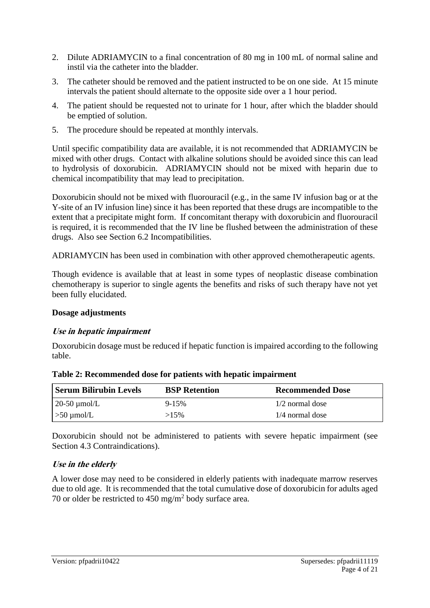- 2. Dilute ADRIAMYCIN to a final concentration of 80 mg in 100 mL of normal saline and instil via the catheter into the bladder.
- 3. The catheter should be removed and the patient instructed to be on one side. At 15 minute intervals the patient should alternate to the opposite side over a 1 hour period.
- 4. The patient should be requested not to urinate for 1 hour, after which the bladder should be emptied of solution.
- 5. The procedure should be repeated at monthly intervals.

Until specific compatibility data are available, it is not recommended that ADRIAMYCIN be mixed with other drugs. Contact with alkaline solutions should be avoided since this can lead to hydrolysis of doxorubicin. ADRIAMYCIN should not be mixed with heparin due to chemical incompatibility that may lead to precipitation.

Doxorubicin should not be mixed with fluorouracil (e.g., in the same IV infusion bag or at the Y-site of an IV infusion line) since it has been reported that these drugs are incompatible to the extent that a precipitate might form. If concomitant therapy with doxorubicin and fluorouracil is required, it is recommended that the IV line be flushed between the administration of these drugs. Also see Section 6.2 Incompatibilities.

ADRIAMYCIN has been used in combination with other approved chemotherapeutic agents.

Though evidence is available that at least in some types of neoplastic disease combination chemotherapy is superior to single agents the benefits and risks of such therapy have not yet been fully elucidated.

### **Dosage adjustments**

### **Use in hepatic impairment**

Doxorubicin dosage must be reduced if hepatic function is impaired according to the following table.

| Serum Bilirubin Levels | <b>BSP</b> Retention | <b>Recommended Dose</b> |
|------------------------|----------------------|-------------------------|
| $\sim$ 20-50 µmol/L    | $9 - 15%$            | $1/2$ normal dose       |
| $\geq 50 \mu$ mol/L    | $>15\%$              | 1/4 normal dose         |

| Table 2: Recommended dose for patients with hepatic impairment |  |  |  |
|----------------------------------------------------------------|--|--|--|
|                                                                |  |  |  |

Doxorubicin should not be administered to patients with severe hepatic impairment (see Section 4.3 Contraindications).

### **Use in the elderly**

A lower dose may need to be considered in elderly patients with inadequate marrow reserves due to old age. It is recommended that the total cumulative dose of doxorubicin for adults aged 70 or older be restricted to  $450 \text{ mg/m}^2$  body surface area.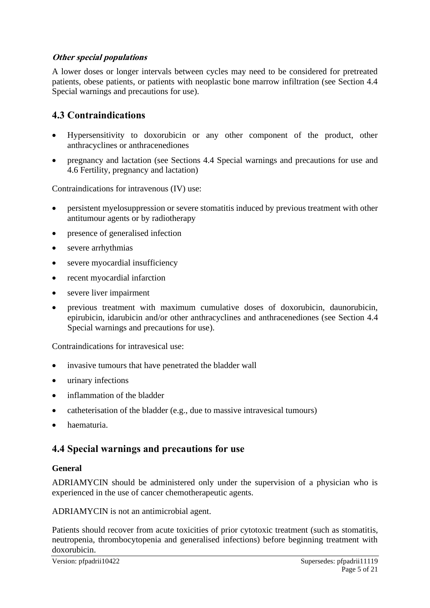### **Other special populations**

A lower doses or longer intervals between cycles may need to be considered for pretreated patients, obese patients, or patients with neoplastic bone marrow infiltration (see Section 4.4 Special warnings and precautions for use).

# **4.3 Contraindications**

- Hypersensitivity to doxorubicin or any other component of the product, other anthracyclines or anthracenediones
- pregnancy and lactation (see Sections 4.4 Special warnings and precautions for use and 4.6 Fertility, pregnancy and lactation)

Contraindications for intravenous (IV) use:

- persistent myelosuppression or severe stomatitis induced by previous treatment with other antitumour agents or by radiotherapy
- presence of generalised infection
- severe arrhythmias
- severe myocardial insufficiency
- recent myocardial infarction
- severe liver impairment
- previous treatment with maximum cumulative doses of doxorubicin, daunorubicin, epirubicin, idarubicin and/or other anthracyclines and anthracenediones (see Section 4.4 Special warnings and precautions for use).

Contraindications for intravesical use:

- invasive tumours that have penetrated the bladder wall
- urinary infections
- inflammation of the bladder
- catheterisation of the bladder (e.g., due to massive intravesical tumours)
- haematuria.

# **4.4 Special warnings and precautions for use**

#### **General**

ADRIAMYCIN should be administered only under the supervision of a physician who is experienced in the use of cancer chemotherapeutic agents.

ADRIAMYCIN is not an antimicrobial agent.

Patients should recover from acute toxicities of prior cytotoxic treatment (such as stomatitis, neutropenia, thrombocytopenia and generalised infections) before beginning treatment with doxorubicin.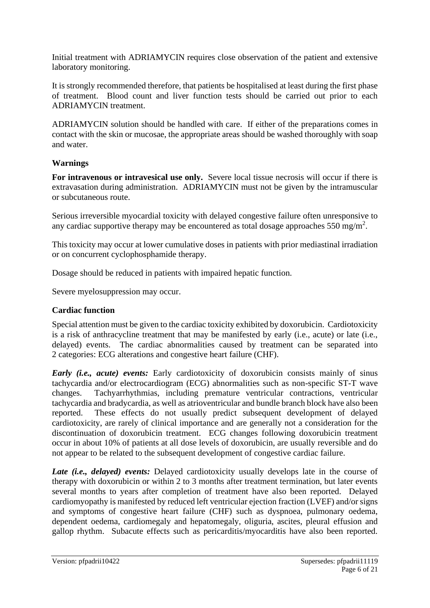Initial treatment with ADRIAMYCIN requires close observation of the patient and extensive laboratory monitoring.

It is strongly recommended therefore, that patients be hospitalised at least during the first phase of treatment. Blood count and liver function tests should be carried out prior to each ADRIAMYCIN treatment.

ADRIAMYCIN solution should be handled with care. If either of the preparations comes in contact with the skin or mucosae, the appropriate areas should be washed thoroughly with soap and water.

### **Warnings**

**For intravenous or intravesical use only.** Severe local tissue necrosis will occur if there is extravasation during administration. ADRIAMYCIN must not be given by the intramuscular or subcutaneous route.

Serious irreversible myocardial toxicity with delayed congestive failure often unresponsive to any cardiac supportive therapy may be encountered as total dosage approaches 550 mg/m<sup>2</sup>.

This toxicity may occur at lower cumulative doses in patients with prior mediastinal irradiation or on concurrent cyclophosphamide therapy.

Dosage should be reduced in patients with impaired hepatic function.

Severe myelosuppression may occur.

### **Cardiac function**

Special attention must be given to the cardiac toxicity exhibited by doxorubicin. Cardiotoxicity is a risk of anthracycline treatment that may be manifested by early (i.e., acute) or late (i.e., delayed) events. The cardiac abnormalities caused by treatment can be separated into 2 categories: ECG alterations and congestive heart failure (CHF).

*Early (i.e., acute) events:* Early cardiotoxicity of doxorubicin consists mainly of sinus tachycardia and/or electrocardiogram (ECG) abnormalities such as non-specific ST-T wave changes. Tachyarrhythmias, including premature ventricular contractions, ventricular tachycardia and bradycardia, as well as atrioventricular and bundle branch block have also been reported. These effects do not usually predict subsequent development of delayed cardiotoxicity, are rarely of clinical importance and are generally not a consideration for the discontinuation of doxorubicin treatment. ECG changes following doxorubicin treatment occur in about 10% of patients at all dose levels of doxorubicin, are usually reversible and do not appear to be related to the subsequent development of congestive cardiac failure.

*Late (i.e., delayed) events:* Delayed cardiotoxicity usually develops late in the course of therapy with doxorubicin or within 2 to 3 months after treatment termination, but later events several months to years after completion of treatment have also been reported. Delayed cardiomyopathy is manifested by reduced left ventricular ejection fraction (LVEF) and/or signs and symptoms of congestive heart failure (CHF) such as dyspnoea, pulmonary oedema, dependent oedema, cardiomegaly and hepatomegaly, oliguria, ascites, pleural effusion and gallop rhythm. Subacute effects such as pericarditis/myocarditis have also been reported.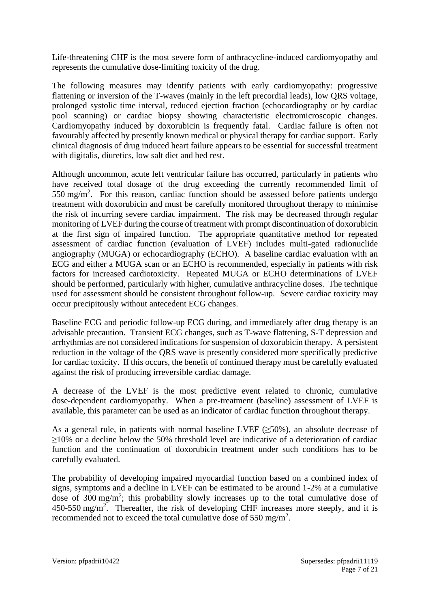Life-threatening CHF is the most severe form of anthracycline-induced cardiomyopathy and represents the cumulative dose-limiting toxicity of the drug.

The following measures may identify patients with early cardiomyopathy: progressive flattening or inversion of the T-waves (mainly in the left precordial leads), low QRS voltage, prolonged systolic time interval, reduced ejection fraction (echocardiography or by cardiac pool scanning) or cardiac biopsy showing characteristic electromicroscopic changes. Cardiomyopathy induced by doxorubicin is frequently fatal. Cardiac failure is often not favourably affected by presently known medical or physical therapy for cardiac support. Early clinical diagnosis of drug induced heart failure appears to be essential for successful treatment with digitalis, diuretics, low salt diet and bed rest.

Although uncommon, acute left ventricular failure has occurred, particularly in patients who have received total dosage of the drug exceeding the currently recommended limit of  $550 \text{ mg/m}^2$ . For this reason, cardiac function should be assessed before patients undergo treatment with doxorubicin and must be carefully monitored throughout therapy to minimise the risk of incurring severe cardiac impairment. The risk may be decreased through regular monitoring of LVEF during the course of treatment with prompt discontinuation of doxorubicin at the first sign of impaired function. The appropriate quantitative method for repeated assessment of cardiac function (evaluation of LVEF) includes multi-gated radionuclide angiography (MUGA) or echocardiography (ECHO). A baseline cardiac evaluation with an ECG and either a MUGA scan or an ECHO is recommended, especially in patients with risk factors for increased cardiotoxicity. Repeated MUGA or ECHO determinations of LVEF should be performed, particularly with higher, cumulative anthracycline doses. The technique used for assessment should be consistent throughout follow-up. Severe cardiac toxicity may occur precipitously without antecedent ECG changes.

Baseline ECG and periodic follow-up ECG during, and immediately after drug therapy is an advisable precaution. Transient ECG changes, such as T-wave flattening, S-T depression and arrhythmias are not considered indications for suspension of doxorubicin therapy. A persistent reduction in the voltage of the QRS wave is presently considered more specifically predictive for cardiac toxicity. If this occurs, the benefit of continued therapy must be carefully evaluated against the risk of producing irreversible cardiac damage.

A decrease of the LVEF is the most predictive event related to chronic, cumulative dose-dependent cardiomyopathy. When a pre-treatment (baseline) assessment of LVEF is available, this parameter can be used as an indicator of cardiac function throughout therapy.

As a general rule, in patients with normal baseline LVEF  $(\geq 50\%)$ , an absolute decrease of ≥10% or a decline below the 50% threshold level are indicative of a deterioration of cardiac function and the continuation of doxorubicin treatment under such conditions has to be carefully evaluated.

The probability of developing impaired myocardial function based on a combined index of signs, symptoms and a decline in LVEF can be estimated to be around 1-2% at a cumulative dose of 300 mg/m<sup>2</sup>; this probability slowly increases up to the total cumulative dose of  $450-550$  mg/m<sup>2</sup>. Thereafter, the risk of developing CHF increases more steeply, and it is recommended not to exceed the total cumulative dose of 550 mg/m<sup>2</sup>.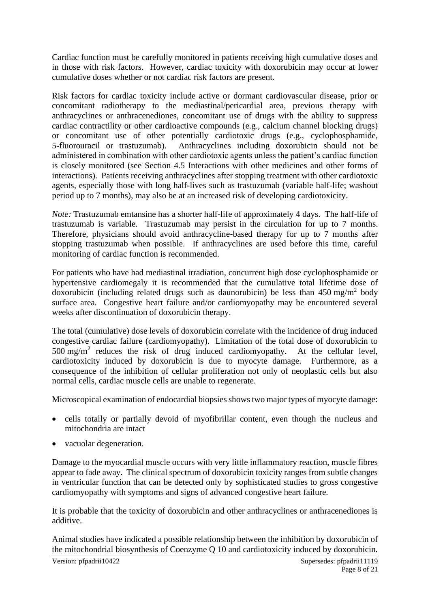Cardiac function must be carefully monitored in patients receiving high cumulative doses and in those with risk factors. However, cardiac toxicity with doxorubicin may occur at lower cumulative doses whether or not cardiac risk factors are present.

Risk factors for cardiac toxicity include active or dormant cardiovascular disease, prior or concomitant radiotherapy to the mediastinal/pericardial area, previous therapy with anthracyclines or anthracenediones, concomitant use of drugs with the ability to suppress cardiac contractility or other cardioactive compounds (e.g., calcium channel blocking drugs) or concomitant use of other potentially cardiotoxic drugs (e.g., cyclophosphamide, 5-fluorouracil or trastuzumab). Anthracyclines including doxorubicin should not be administered in combination with other cardiotoxic agents unless the patient's cardiac function is closely monitored (see Section 4.5 Interactions with other medicines and other forms of interactions). Patients receiving anthracyclines after stopping treatment with other cardiotoxic agents, especially those with long half-lives such as trastuzumab (variable half-life; washout period up to 7 months), may also be at an increased risk of developing cardiotoxicity.

*Note:* Trastuzumab emtansine has a shorter half-life of approximately 4 days. The half-life of trastuzumab is variable. Trastuzumab may persist in the circulation for up to 7 months. Therefore, physicians should avoid anthracycline-based therapy for up to 7 months after stopping trastuzumab when possible. If anthracyclines are used before this time, careful monitoring of cardiac function is recommended.

For patients who have had mediastinal irradiation, concurrent high dose cyclophosphamide or hypertensive cardiomegaly it is recommended that the cumulative total lifetime dose of doxorubicin (including related drugs such as daunorubicin) be less than  $450 \text{ mg/m}^2$  body surface area. Congestive heart failure and/or cardiomyopathy may be encountered several weeks after discontinuation of doxorubicin therapy.

The total (cumulative) dose levels of doxorubicin correlate with the incidence of drug induced congestive cardiac failure (cardiomyopathy). Limitation of the total dose of doxorubicin to  $500 \text{ mg/m}^2$  reduces the risk of drug induced cardiomyopathy. At the cellular level, cardiotoxicity induced by doxorubicin is due to myocyte damage. Furthermore, as a consequence of the inhibition of cellular proliferation not only of neoplastic cells but also normal cells, cardiac muscle cells are unable to regenerate.

Microscopical examination of endocardial biopsies shows two major types of myocyte damage:

- cells totally or partially devoid of myofibrillar content, even though the nucleus and mitochondria are intact
- vacuolar degeneration.

Damage to the myocardial muscle occurs with very little inflammatory reaction, muscle fibres appear to fade away. The clinical spectrum of doxorubicin toxicity ranges from subtle changes in ventricular function that can be detected only by sophisticated studies to gross congestive cardiomyopathy with symptoms and signs of advanced congestive heart failure.

It is probable that the toxicity of doxorubicin and other anthracyclines or anthracenediones is additive.

Animal studies have indicated a possible relationship between the inhibition by doxorubicin of the mitochondrial biosynthesis of Coenzyme Q 10 and cardiotoxicity induced by doxorubicin.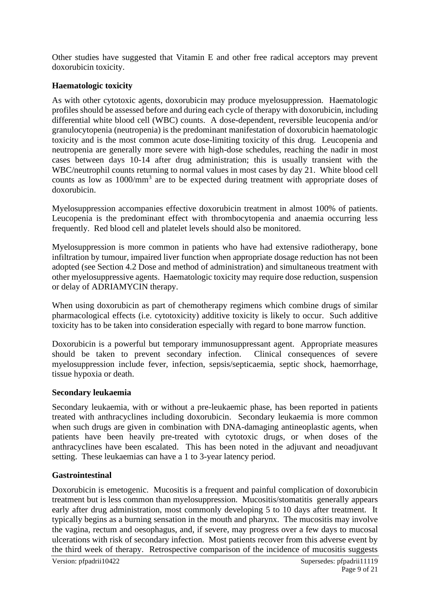Other studies have suggested that Vitamin E and other free radical acceptors may prevent doxorubicin toxicity.

#### **Haematologic toxicity**

As with other cytotoxic agents, doxorubicin may produce myelosuppression. Haematologic profiles should be assessed before and during each cycle of therapy with doxorubicin, including differential white blood cell (WBC) counts. A dose-dependent, reversible leucopenia and/or granulocytopenia (neutropenia) is the predominant manifestation of doxorubicin haematologic toxicity and is the most common acute dose-limiting toxicity of this drug. Leucopenia and neutropenia are generally more severe with high-dose schedules, reaching the nadir in most cases between days 10-14 after drug administration; this is usually transient with the WBC/neutrophil counts returning to normal values in most cases by day 21. White blood cell counts as low as 1000/mm<sup>3</sup> are to be expected during treatment with appropriate doses of doxorubicin.

Myelosuppression accompanies effective doxorubicin treatment in almost 100% of patients. Leucopenia is the predominant effect with thrombocytopenia and anaemia occurring less frequently. Red blood cell and platelet levels should also be monitored.

Myelosuppression is more common in patients who have had extensive radiotherapy, bone infiltration by tumour, impaired liver function when appropriate dosage reduction has not been adopted (see Section 4.2 Dose and method of administration) and simultaneous treatment with other myelosuppressive agents. Haematologic toxicity may require dose reduction, suspension or delay of ADRIAMYCIN therapy.

When using doxorubicin as part of chemotherapy regimens which combine drugs of similar pharmacological effects (i.e. cytotoxicity) additive toxicity is likely to occur. Such additive toxicity has to be taken into consideration especially with regard to bone marrow function.

Doxorubicin is a powerful but temporary immunosuppressant agent. Appropriate measures should be taken to prevent secondary infection. Clinical consequences of severe myelosuppression include fever, infection, sepsis/septicaemia, septic shock, haemorrhage, tissue hypoxia or death.

#### **Secondary leukaemia**

Secondary leukaemia, with or without a pre-leukaemic phase, has been reported in patients treated with anthracyclines including doxorubicin. Secondary leukaemia is more common when such drugs are given in combination with DNA-damaging antineoplastic agents, when patients have been heavily pre-treated with cytotoxic drugs, or when doses of the anthracyclines have been escalated. This has been noted in the adjuvant and neoadjuvant setting. These leukaemias can have a 1 to 3-year latency period.

#### **Gastrointestinal**

Doxorubicin is emetogenic. Mucositis is a frequent and painful complication of doxorubicin treatment but is less common than myelosuppression. Mucositis/stomatitis generally appears early after drug administration, most commonly developing 5 to 10 days after treatment. It typically begins as a burning sensation in the mouth and pharynx. The mucositis may involve the vagina, rectum and oesophagus, and, if severe, may progress over a few days to mucosal ulcerations with risk of secondary infection. Most patients recover from this adverse event by the third week of therapy. Retrospective comparison of the incidence of mucositis suggests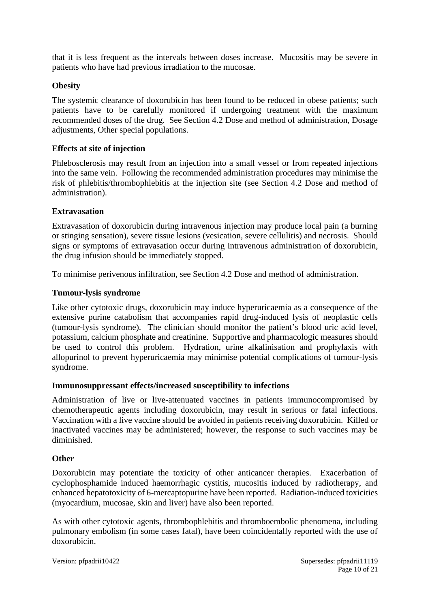that it is less frequent as the intervals between doses increase. Mucositis may be severe in patients who have had previous irradiation to the mucosae.

### **Obesity**

The systemic clearance of doxorubicin has been found to be reduced in obese patients; such patients have to be carefully monitored if undergoing treatment with the maximum recommended doses of the drug. See Section 4.2 Dose and method of administration, Dosage adjustments, Other special populations.

#### **Effects at site of injection**

Phlebosclerosis may result from an injection into a small vessel or from repeated injections into the same vein. Following the recommended administration procedures may minimise the risk of phlebitis/thrombophlebitis at the injection site (see Section 4.2 Dose and method of administration).

### **Extravasation**

Extravasation of doxorubicin during intravenous injection may produce local pain (a burning or stinging sensation), severe tissue lesions (vesication, severe cellulitis) and necrosis. Should signs or symptoms of extravasation occur during intravenous administration of doxorubicin, the drug infusion should be immediately stopped.

To minimise perivenous infiltration, see Section 4.2 Dose and method of administration.

### **Tumour-lysis syndrome**

Like other cytotoxic drugs, doxorubicin may induce hyperuricaemia as a consequence of the extensive purine catabolism that accompanies rapid drug-induced lysis of neoplastic cells (tumour-lysis syndrome). The clinician should monitor the patient's blood uric acid level, potassium, calcium phosphate and creatinine. Supportive and pharmacologic measures should be used to control this problem. Hydration, urine alkalinisation and prophylaxis with allopurinol to prevent hyperuricaemia may minimise potential complications of tumour-lysis syndrome.

#### **Immunosuppressant effects/increased susceptibility to infections**

Administration of live or live-attenuated vaccines in patients immunocompromised by chemotherapeutic agents including doxorubicin, may result in serious or fatal infections. Vaccination with a live vaccine should be avoided in patients receiving doxorubicin. Killed or inactivated vaccines may be administered; however, the response to such vaccines may be diminished.

#### **Other**

Doxorubicin may potentiate the toxicity of other anticancer therapies. Exacerbation of cyclophosphamide induced haemorrhagic cystitis, mucositis induced by radiotherapy, and enhanced hepatotoxicity of 6-mercaptopurine have been reported. Radiation-induced toxicities (myocardium, mucosae, skin and liver) have also been reported.

As with other cytotoxic agents, thrombophlebitis and thromboembolic phenomena, including pulmonary embolism (in some cases fatal), have been coincidentally reported with the use of doxorubicin.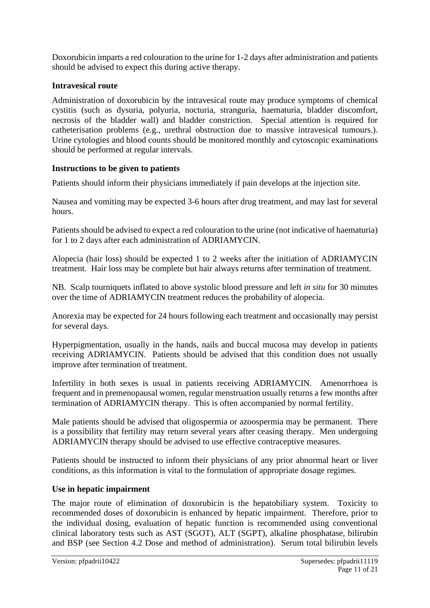Doxorubicin imparts a red colouration to the urine for 1-2 days after administration and patients should be advised to expect this during active therapy.

## **Intravesical route**

Administration of doxorubicin by the intravesical route may produce symptoms of chemical cystitis (such as dysuria, polyuria, nocturia, stranguria, haematuria, bladder discomfort, necrosis of the bladder wall) and bladder constriction. Special attention is required for catheterisation problems (e.g., urethral obstruction due to massive intravesical tumours.). Urine cytologies and blood counts should be monitored monthly and cytoscopic examinations should be performed at regular intervals.

# **Instructions to be given to patients**

Patients should inform their physicians immediately if pain develops at the injection site.

Nausea and vomiting may be expected 3-6 hours after drug treatment, and may last for several hours.

Patients should be advised to expect a red colouration to the urine (not indicative of haematuria) for 1 to 2 days after each administration of ADRIAMYCIN.

Alopecia (hair loss) should be expected 1 to 2 weeks after the initiation of ADRIAMYCIN treatment. Hair loss may be complete but hair always returns after termination of treatment.

NB. Scalp tourniquets inflated to above systolic blood pressure and left *in situ* for 30 minutes over the time of ADRIAMYCIN treatment reduces the probability of alopecia.

Anorexia may be expected for 24 hours following each treatment and occasionally may persist for several days.

Hyperpigmentation, usually in the hands, nails and buccal mucosa may develop in patients receiving ADRIAMYCIN. Patients should be advised that this condition does not usually improve after termination of treatment.

Infertility in both sexes is usual in patients receiving ADRIAMYCIN. Amenorrhoea is frequent and in premenopausal women, regular menstruation usually returns a few months after termination of ADRIAMYCIN therapy. This is often accompanied by normal fertility.

Male patients should be advised that oligospermia or azoospermia may be permanent. There is a possibility that fertility may return several years after ceasing therapy. Men undergoing ADRIAMYCIN therapy should be advised to use effective contraceptive measures.

Patients should be instructed to inform their physicians of any prior abnormal heart or liver conditions, as this information is vital to the formulation of appropriate dosage regimes.

# **Use in hepatic impairment**

The major route of elimination of doxorubicin is the hepatobiliary system. Toxicity to recommended doses of doxorubicin is enhanced by hepatic impairment. Therefore, prior to the individual dosing, evaluation of hepatic function is recommended using conventional clinical laboratory tests such as AST (SGOT), ALT (SGPT), alkaline phosphatase, bilirubin and BSP (see Section 4.2 Dose and method of administration). Serum total bilirubin levels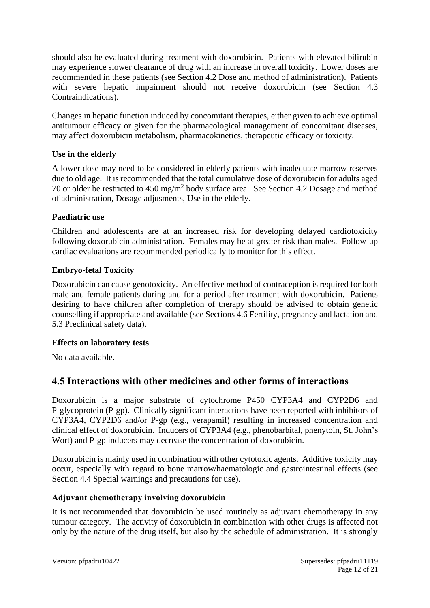should also be evaluated during treatment with doxorubicin. Patients with elevated bilirubin may experience slower clearance of drug with an increase in overall toxicity. Lower doses are recommended in these patients (see Section 4.2 Dose and method of administration). Patients with severe hepatic impairment should not receive doxorubicin (see Section 4.3 Contraindications).

Changes in hepatic function induced by concomitant therapies, either given to achieve optimal antitumour efficacy or given for the pharmacological management of concomitant diseases, may affect doxorubicin metabolism, pharmacokinetics, therapeutic efficacy or toxicity.

### **Use in the elderly**

A lower dose may need to be considered in elderly patients with inadequate marrow reserves due to old age. It is recommended that the total cumulative dose of doxorubicin for adults aged 70 or older be restricted to  $450 \text{ mg/m}^2$  body surface area. See Section 4.2 Dosage and method of administration, Dosage adjusments, Use in the elderly.

# **Paediatric use**

Children and adolescents are at an increased risk for developing delayed cardiotoxicity following doxorubicin administration. Females may be at greater risk than males. Follow-up cardiac evaluations are recommended periodically to monitor for this effect.

# **Embryo-fetal Toxicity**

Doxorubicin can cause genotoxicity. An effective method of contraception is required for both male and female patients during and for a period after treatment with doxorubicin. Patients desiring to have children after completion of therapy should be advised to obtain genetic counselling if appropriate and available (see Sections 4.6 Fertility, pregnancy and lactation and 5.3 Preclinical safety data).

### **Effects on laboratory tests**

No data available.

# **4.5 Interactions with other medicines and other forms of interactions**

Doxorubicin is a major substrate of cytochrome P450 CYP3A4 and CYP2D6 and P-glycoprotein (P-gp). Clinically significant interactions have been reported with inhibitors of CYP3A4, CYP2D6 and/or P-gp (e.g., verapamil) resulting in increased concentration and clinical effect of doxorubicin. Inducers of CYP3A4 (e.g., phenobarbital, phenytoin, St. John's Wort) and P-gp inducers may decrease the concentration of doxorubicin.

Doxorubicin is mainly used in combination with other cytotoxic agents. Additive toxicity may occur, especially with regard to bone marrow/haematologic and gastrointestinal effects (see Section 4.4 Special warnings and precautions for use).

### **Adjuvant chemotherapy involving doxorubicin**

It is not recommended that doxorubicin be used routinely as adjuvant chemotherapy in any tumour category. The activity of doxorubicin in combination with other drugs is affected not only by the nature of the drug itself, but also by the schedule of administration. It is strongly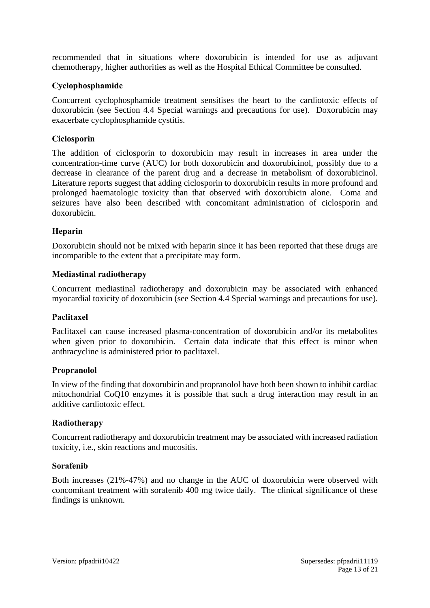recommended that in situations where doxorubicin is intended for use as adjuvant chemotherapy, higher authorities as well as the Hospital Ethical Committee be consulted.

#### **Cyclophosphamide**

Concurrent cyclophosphamide treatment sensitises the heart to the cardiotoxic effects of doxorubicin (see Section 4.4 Special warnings and precautions for use). Doxorubicin may exacerbate cyclophosphamide cystitis.

#### **Ciclosporin**

The addition of ciclosporin to doxorubicin may result in increases in area under the concentration-time curve (AUC) for both doxorubicin and doxorubicinol, possibly due to a decrease in clearance of the parent drug and a decrease in metabolism of doxorubicinol. Literature reports suggest that adding ciclosporin to doxorubicin results in more profound and prolonged haematologic toxicity than that observed with doxorubicin alone. Coma and seizures have also been described with concomitant administration of ciclosporin and doxorubicin.

#### **Heparin**

Doxorubicin should not be mixed with heparin since it has been reported that these drugs are incompatible to the extent that a precipitate may form.

#### **Mediastinal radiotherapy**

Concurrent mediastinal radiotherapy and doxorubicin may be associated with enhanced myocardial toxicity of doxorubicin (see Section 4.4 Special warnings and precautions for use).

#### **Paclitaxel**

Paclitaxel can cause increased plasma-concentration of doxorubicin and/or its metabolites when given prior to doxorubicin. Certain data indicate that this effect is minor when anthracycline is administered prior to paclitaxel.

#### **Propranolol**

In view of the finding that doxorubicin and propranolol have both been shown to inhibit cardiac mitochondrial CoQ10 enzymes it is possible that such a drug interaction may result in an additive cardiotoxic effect.

#### **Radiotherapy**

Concurrent radiotherapy and doxorubicin treatment may be associated with increased radiation toxicity, i.e., skin reactions and mucositis.

#### **Sorafenib**

Both increases (21%-47%) and no change in the AUC of doxorubicin were observed with concomitant treatment with sorafenib 400 mg twice daily. The clinical significance of these findings is unknown.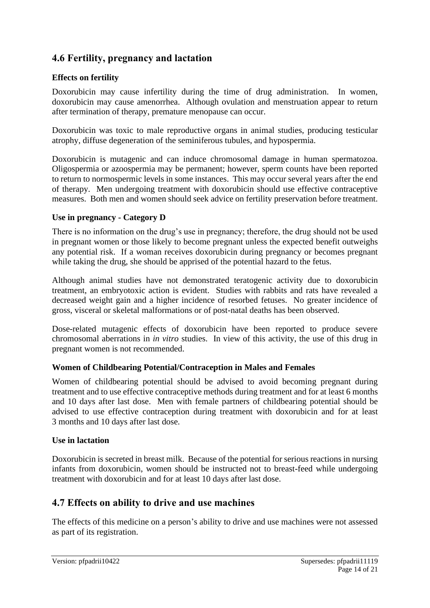# **4.6 Fertility, pregnancy and lactation**

### **Effects on fertility**

Doxorubicin may cause infertility during the time of drug administration. In women, doxorubicin may cause amenorrhea. Although ovulation and menstruation appear to return after termination of therapy, premature menopause can occur.

Doxorubicin was toxic to male reproductive organs in animal studies, producing testicular atrophy, diffuse degeneration of the seminiferous tubules, and hypospermia.

Doxorubicin is mutagenic and can induce chromosomal damage in human spermatozoa. Oligospermia or azoospermia may be permanent; however, sperm counts have been reported to return to normospermic levels in some instances. This may occur several years after the end of therapy. Men undergoing treatment with doxorubicin should use effective contraceptive measures. Both men and women should seek advice on fertility preservation before treatment.

### **Use in pregnancy - Category D**

There is no information on the drug's use in pregnancy; therefore, the drug should not be used in pregnant women or those likely to become pregnant unless the expected benefit outweighs any potential risk. If a woman receives doxorubicin during pregnancy or becomes pregnant while taking the drug, she should be apprised of the potential hazard to the fetus.

Although animal studies have not demonstrated teratogenic activity due to doxorubicin treatment, an embryotoxic action is evident. Studies with rabbits and rats have revealed a decreased weight gain and a higher incidence of resorbed fetuses. No greater incidence of gross, visceral or skeletal malformations or of post-natal deaths has been observed.

Dose-related mutagenic effects of doxorubicin have been reported to produce severe chromosomal aberrations in *in vitro* studies. In view of this activity, the use of this drug in pregnant women is not recommended.

### **Women of Childbearing Potential/Contraception in Males and Females**

Women of childbearing potential should be advised to avoid becoming pregnant during treatment and to use effective contraceptive methods during treatment and for at least 6 months and 10 days after last dose. Men with female partners of childbearing potential should be advised to use effective contraception during treatment with doxorubicin and for at least 3 months and 10 days after last dose.

#### **Use in lactation**

Doxorubicin is secreted in breast milk. Because of the potential for serious reactions in nursing infants from doxorubicin, women should be instructed not to breast-feed while undergoing treatment with doxorubicin and for at least 10 days after last dose.

# **4.7 Effects on ability to drive and use machines**

The effects of this medicine on a person's ability to drive and use machines were not assessed as part of its registration.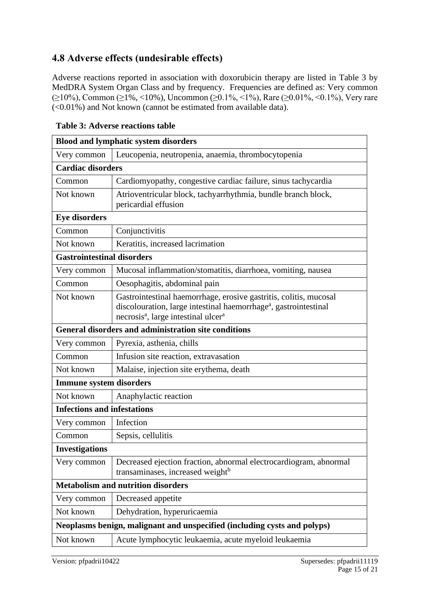# **4.8 Adverse effects (undesirable effects)**

Adverse reactions reported in association with doxorubicin therapy are listed in Table 3 by MedDRA System Organ Class and by frequency. Frequencies are defined as: Very common (≥10%), Common (≥1%, <10%), Uncommon (≥0.1%, <1%), Rare (≥0.01%, <0.1%), Very rare  $\left($  <0.01%) and Not known (cannot be estimated from available data).

| <b>Blood and lymphatic system disorders</b>                              |                                                                                                                                                                                                                  |  |  |
|--------------------------------------------------------------------------|------------------------------------------------------------------------------------------------------------------------------------------------------------------------------------------------------------------|--|--|
| Very common                                                              | Leucopenia, neutropenia, anaemia, thrombocytopenia                                                                                                                                                               |  |  |
| <b>Cardiac disorders</b>                                                 |                                                                                                                                                                                                                  |  |  |
| Common                                                                   | Cardiomyopathy, congestive cardiac failure, sinus tachycardia                                                                                                                                                    |  |  |
| Not known                                                                | Atrioventricular block, tachyarrhythmia, bundle branch block,<br>pericardial effusion                                                                                                                            |  |  |
| <b>Eye disorders</b>                                                     |                                                                                                                                                                                                                  |  |  |
| Common                                                                   | Conjunctivitis                                                                                                                                                                                                   |  |  |
| Not known                                                                | Keratitis, increased lacrimation                                                                                                                                                                                 |  |  |
| <b>Gastrointestinal disorders</b>                                        |                                                                                                                                                                                                                  |  |  |
| Very common                                                              | Mucosal inflammation/stomatitis, diarrhoea, vomiting, nausea                                                                                                                                                     |  |  |
| Common                                                                   | Oesophagitis, abdominal pain                                                                                                                                                                                     |  |  |
| Not known                                                                | Gastrointestinal haemorrhage, erosive gastritis, colitis, mucosal<br>discolouration, large intestinal haemorrhage <sup>a</sup> , gastrointestinal<br>necrosis <sup>a</sup> , large intestinal ulcer <sup>a</sup> |  |  |
| <b>General disorders and administration site conditions</b>              |                                                                                                                                                                                                                  |  |  |
| Very common                                                              | Pyrexia, asthenia, chills                                                                                                                                                                                        |  |  |
| Common                                                                   | Infusion site reaction, extravasation                                                                                                                                                                            |  |  |
| Not known                                                                | Malaise, injection site erythema, death                                                                                                                                                                          |  |  |
| <b>Immune system disorders</b>                                           |                                                                                                                                                                                                                  |  |  |
| Not known                                                                | Anaphylactic reaction                                                                                                                                                                                            |  |  |
| <b>Infections and infestations</b>                                       |                                                                                                                                                                                                                  |  |  |
| Very common                                                              | Infection                                                                                                                                                                                                        |  |  |
| Common                                                                   | Sepsis, cellulitis                                                                                                                                                                                               |  |  |
| <b>Investigations</b>                                                    |                                                                                                                                                                                                                  |  |  |
| Very common                                                              | Decreased ejection fraction, abnormal electrocardiogram, abnormal<br>transaminases, increased weight <sup>b</sup>                                                                                                |  |  |
|                                                                          | <b>Metabolism and nutrition disorders</b>                                                                                                                                                                        |  |  |
| Very common                                                              | Decreased appetite                                                                                                                                                                                               |  |  |
| Not known                                                                | Dehydration, hyperuricaemia                                                                                                                                                                                      |  |  |
| Neoplasms benign, malignant and unspecified (including cysts and polyps) |                                                                                                                                                                                                                  |  |  |
| Not known                                                                | Acute lymphocytic leukaemia, acute myeloid leukaemia                                                                                                                                                             |  |  |

**Table 3: Adverse reactions table**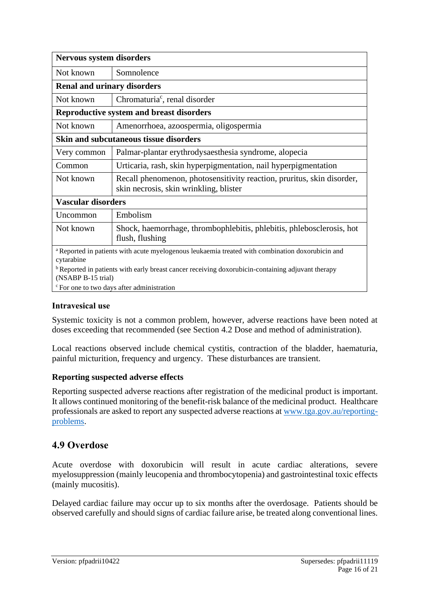| Nervous system disorders                                                                                                           |                                                                                                                  |  |  |
|------------------------------------------------------------------------------------------------------------------------------------|------------------------------------------------------------------------------------------------------------------|--|--|
| Not known                                                                                                                          | Somnolence                                                                                                       |  |  |
| <b>Renal and urinary disorders</b>                                                                                                 |                                                                                                                  |  |  |
| Not known                                                                                                                          | Chromaturia <sup>c</sup> , renal disorder                                                                        |  |  |
| <b>Reproductive system and breast disorders</b>                                                                                    |                                                                                                                  |  |  |
| Not known                                                                                                                          | Amenorrhoea, azoospermia, oligospermia                                                                           |  |  |
| <b>Skin and subcutaneous tissue disorders</b>                                                                                      |                                                                                                                  |  |  |
| Very common                                                                                                                        | Palmar-plantar erythrodysaesthesia syndrome, alopecia                                                            |  |  |
| Common                                                                                                                             | Urticaria, rash, skin hyperpigmentation, nail hyperpigmentation                                                  |  |  |
| Not known                                                                                                                          | Recall phenomenon, photosensitivity reaction, pruritus, skin disorder,<br>skin necrosis, skin wrinkling, blister |  |  |
| <b>Vascular disorders</b>                                                                                                          |                                                                                                                  |  |  |
| <b>Uncommon</b>                                                                                                                    | Embolism                                                                                                         |  |  |
| Not known                                                                                                                          | Shock, haemorrhage, thrombophlebitis, phlebitis, phlebosclerosis, hot<br>flush, flushing                         |  |  |
| a Reported in patients with acute myelogenous leukaemia treated with combination doxorubicin and<br>cytarabine                     |                                                                                                                  |  |  |
| <sup>b</sup> Reported in patients with early breast cancer receiving doxorubicin-containing adjuvant therapy<br>(NSABP B-15 trial) |                                                                                                                  |  |  |

 $\mathcal{C}$  For one to two days after administration

#### **Intravesical use**

Systemic toxicity is not a common problem, however, adverse reactions have been noted at doses exceeding that recommended (see Section 4.2 Dose and method of administration).

Local reactions observed include chemical cystitis, contraction of the bladder, haematuria, painful micturition, frequency and urgency. These disturbances are transient.

#### **Reporting suspected adverse effects**

Reporting suspected adverse reactions after registration of the medicinal product is important. It allows continued monitoring of the benefit-risk balance of the medicinal product. Healthcare professionals are asked to report any suspected adverse reactions at [www.tga.gov.au/reporting](http://www.tga.gov.au/reporting-problems)[problems.](http://www.tga.gov.au/reporting-problems)

# **4.9 Overdose**

Acute overdose with doxorubicin will result in acute cardiac alterations, severe myelosuppression (mainly leucopenia and thrombocytopenia) and gastrointestinal toxic effects (mainly mucositis).

Delayed cardiac failure may occur up to six months after the overdosage. Patients should be observed carefully and should signs of cardiac failure arise, be treated along conventional lines.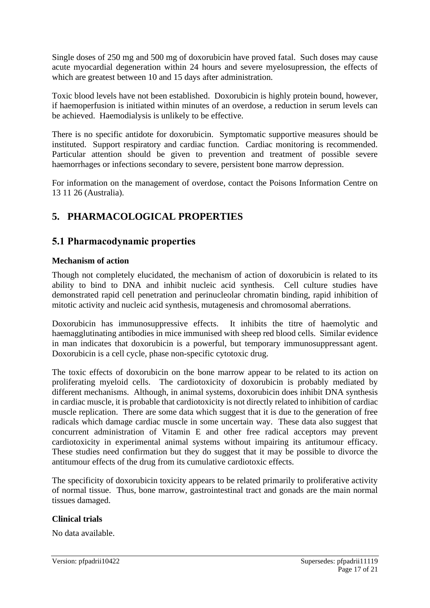Single doses of 250 mg and 500 mg of doxorubicin have proved fatal. Such doses may cause acute myocardial degeneration within 24 hours and severe myelosupression, the effects of which are greatest between 10 and 15 days after administration.

Toxic blood levels have not been established. Doxorubicin is highly protein bound, however, if haemoperfusion is initiated within minutes of an overdose, a reduction in serum levels can be achieved. Haemodialysis is unlikely to be effective.

There is no specific antidote for doxorubicin. Symptomatic supportive measures should be instituted. Support respiratory and cardiac function. Cardiac monitoring is recommended. Particular attention should be given to prevention and treatment of possible severe haemorrhages or infections secondary to severe, persistent bone marrow depression.

For information on the management of overdose, contact the Poisons Information Centre on 13 11 26 (Australia).

# **5. PHARMACOLOGICAL PROPERTIES**

# **5.1 Pharmacodynamic properties**

### **Mechanism of action**

Though not completely elucidated, the mechanism of action of doxorubicin is related to its ability to bind to DNA and inhibit nucleic acid synthesis. Cell culture studies have demonstrated rapid cell penetration and perinucleolar chromatin binding, rapid inhibition of mitotic activity and nucleic acid synthesis, mutagenesis and chromosomal aberrations.

Doxorubicin has immunosuppressive effects. It inhibits the titre of haemolytic and haemagglutinating antibodies in mice immunised with sheep red blood cells. Similar evidence in man indicates that doxorubicin is a powerful, but temporary immunosuppressant agent. Doxorubicin is a cell cycle, phase non-specific cytotoxic drug.

The toxic effects of doxorubicin on the bone marrow appear to be related to its action on proliferating myeloid cells. The cardiotoxicity of doxorubicin is probably mediated by different mechanisms. Although, in animal systems, doxorubicin does inhibit DNA synthesis in cardiac muscle, it is probable that cardiotoxicity is not directly related to inhibition of cardiac muscle replication. There are some data which suggest that it is due to the generation of free radicals which damage cardiac muscle in some uncertain way. These data also suggest that concurrent administration of Vitamin E and other free radical acceptors may prevent cardiotoxicity in experimental animal systems without impairing its antitumour efficacy. These studies need confirmation but they do suggest that it may be possible to divorce the antitumour effects of the drug from its cumulative cardiotoxic effects.

The specificity of doxorubicin toxicity appears to be related primarily to proliferative activity of normal tissue. Thus, bone marrow, gastrointestinal tract and gonads are the main normal tissues damaged.

#### **Clinical trials**

No data available.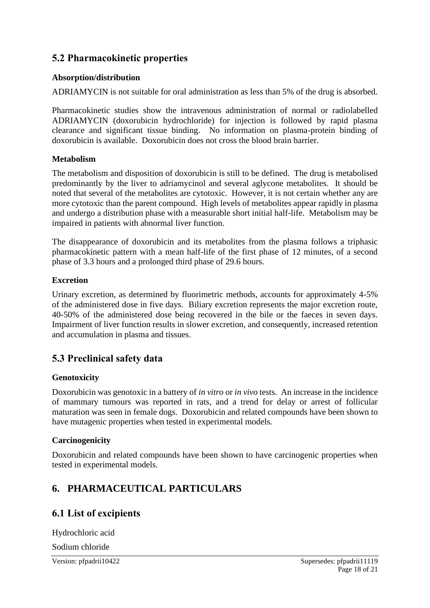# **5.2 Pharmacokinetic properties**

### **Absorption/distribution**

ADRIAMYCIN is not suitable for oral administration as less than 5% of the drug is absorbed.

Pharmacokinetic studies show the intravenous administration of normal or radiolabelled ADRIAMYCIN (doxorubicin hydrochloride) for injection is followed by rapid plasma clearance and significant tissue binding. No information on plasma-protein binding of doxorubicin is available. Doxorubicin does not cross the blood brain barrier.

### **Metabolism**

The metabolism and disposition of doxorubicin is still to be defined. The drug is metabolised predominantly by the liver to adriamycinol and several aglycone metabolites. It should be noted that several of the metabolites are cytotoxic. However, it is not certain whether any are more cytotoxic than the parent compound. High levels of metabolites appear rapidly in plasma and undergo a distribution phase with a measurable short initial half-life. Metabolism may be impaired in patients with abnormal liver function.

The disappearance of doxorubicin and its metabolites from the plasma follows a triphasic pharmacokinetic pattern with a mean half-life of the first phase of 12 minutes, of a second phase of 3.3 hours and a prolonged third phase of 29.6 hours.

### **Excretion**

Urinary excretion, as determined by fluorimetric methods, accounts for approximately 4-5% of the administered dose in five days. Biliary excretion represents the major excretion route, 40-50% of the administered dose being recovered in the bile or the faeces in seven days. Impairment of liver function results in slower excretion, and consequently, increased retention and accumulation in plasma and tissues.

# **5.3 Preclinical safety data**

### **Genotoxicity**

Doxorubicin was genotoxic in a battery of *in vitro* or *in vivo* tests. An increase in the incidence of mammary tumours was reported in rats, and a trend for delay or arrest of follicular maturation was seen in female dogs. Doxorubicin and related compounds have been shown to have mutagenic properties when tested in experimental models.

#### **Carcinogenicity**

Doxorubicin and related compounds have been shown to have carcinogenic properties when tested in experimental models.

# **6. PHARMACEUTICAL PARTICULARS**

# **6.1 List of excipients**

Hydrochloric acid

Sodium chloride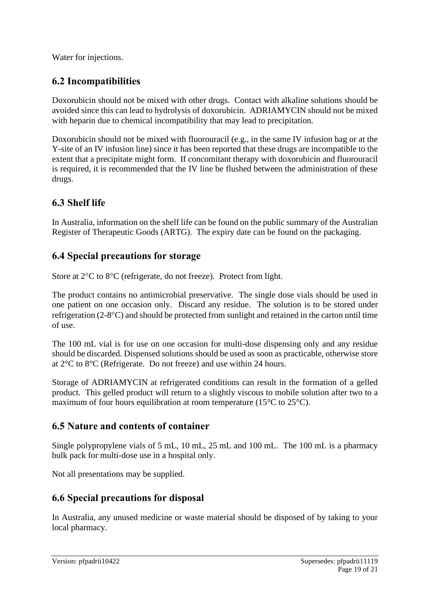Water for injections.

# **6.2 Incompatibilities**

Doxorubicin should not be mixed with other drugs. Contact with alkaline solutions should be avoided since this can lead to hydrolysis of doxorubicin. ADRIAMYCIN should not be mixed with heparin due to chemical incompatibility that may lead to precipitation.

Doxorubicin should not be mixed with fluorouracil (e.g., in the same IV infusion bag or at the Y-site of an IV infusion line) since it has been reported that these drugs are incompatible to the extent that a precipitate might form. If concomitant therapy with doxorubicin and fluorouracil is required, it is recommended that the IV line be flushed between the administration of these drugs.

# **6.3 Shelf life**

In Australia, information on the shelf life can be found on the public summary of the Australian Register of Therapeutic Goods (ARTG). The expiry date can be found on the packaging.

# **6.4 Special precautions for storage**

Store at  $2^{\circ}C$  to  $8^{\circ}C$  (refrigerate, do not freeze). Protect from light.

The product contains no antimicrobial preservative. The single dose vials should be used in one patient on one occasion only. Discard any residue. The solution is to be stored under refrigeration  $(2-8^{\circ}\text{C})$  and should be protected from sunlight and retained in the carton until time of use.

The 100 mL vial is for use on one occasion for multi-dose dispensing only and any residue should be discarded. Dispensed solutions should be used as soon as practicable, otherwise store at 2°C to 8°C (Refrigerate. Do not freeze) and use within 24 hours.

Storage of ADRIAMYCIN at refrigerated conditions can result in the formation of a gelled product. This gelled product will return to a slightly viscous to mobile solution after two to a maximum of four hours equilibration at room temperature (15°C to 25°C).

# **6.5 Nature and contents of container**

Single polypropylene vials of 5 mL, 10 mL, 25 mL and 100 mL. The 100 mL is a pharmacy bulk pack for multi-dose use in a hospital only.

Not all presentations may be supplied.

# **6.6 Special precautions for disposal**

In Australia, any unused medicine or waste material should be disposed of by taking to your local pharmacy.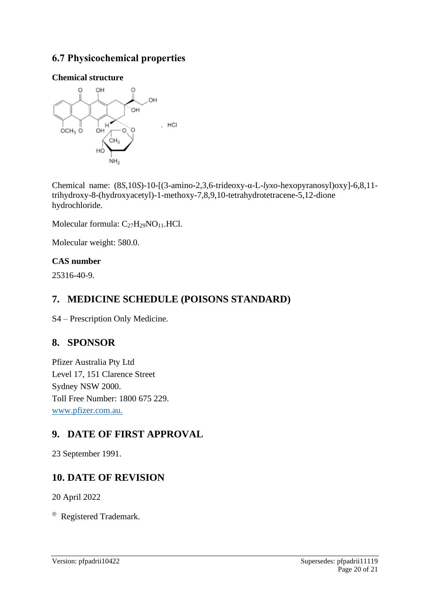# **6.7 Physicochemical properties**

## **Chemical structure**



Chemical name: (8*S*,10*S*)-10-[(3-amino-2,3,6-trideoxy-α-L-*lyxo*-hexopyranosyl)oxy]-6,8,11 trihydroxy-8-(hydroxyacetyl)-1-methoxy-7,8,9,10-tetrahydrotetracene-5,12-dione hydrochloride.

Molecular formula: C<sub>27</sub>H<sub>29</sub>NO<sub>11</sub>.HCl.

Molecular weight: 580.0.

# **CAS number**

25316-40-9.

# **7. MEDICINE SCHEDULE (POISONS STANDARD)**

S4 – Prescription Only Medicine.

# **8. SPONSOR**

Pfizer Australia Pty Ltd Level 17, 151 Clarence Street Sydney NSW 2000. Toll Free Number: 1800 675 229. [www.pfizer.com.au.](http://www.pfizer.com.au/)

# **9. DATE OF FIRST APPROVAL**

23 September 1991.

# **10. DATE OF REVISION**

20 April 2022

® Registered Trademark.